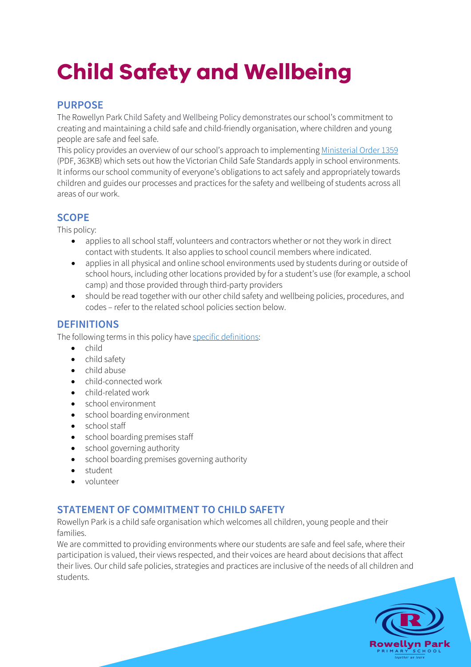# **Child Safety and Wellbeing**

# **PURPOSE**

The Rowellyn Park Child Safety and Wellbeing Policy demonstrates our school's commitment to creating and maintaining a child safe and child-friendly organisation, where children and young people are safe and feel safe.

This policy provides an overview of our school's approach to implementing Ministerial Order 1359 (PDF, 363KB) which sets out how the Victorian Child Safe Standards apply in school environments. It informs our school community of everyone's obligations to act safely and appropriately towards children and guides our processes and practices for the safety and wellbeing of students across all areas of our work.

# **SCOPE**

This policy:

- applies to all school staff, volunteers and contractors whether or not they work in direct contact with students. It also applies to school council members where indicated.
- applies in all physical and online school environments used by students during or outside of school hours, including other locations provided by for a student's use (for example, a school camp) and those provided through third-party providers
- should be read together with our other child safety and wellbeing policies, procedures, and codes – refer to the related school policies section below.

# **DEFINITIONS**

The following terms in this policy have specific definitions:

- child
- child safety
- child abuse
- child-connected work
- child-related work
- school environment
- school boarding environment
- school staff
- school boarding premises staff
- school governing authority
- school boarding premises governing authority
- student
- volunteer

# **STATEMENT OF COMMITMENT TO CHILD SAFETY**

Rowellyn Park is a child safe organisation which welcomes all children, young people and their families.

We are committed to providing environments where our students are safe and feel safe, where their participation is valued, their views respected, and their voices are heard about decisions that affect their lives. Our child safe policies, strategies and practices are inclusive of the needs of all children and students.

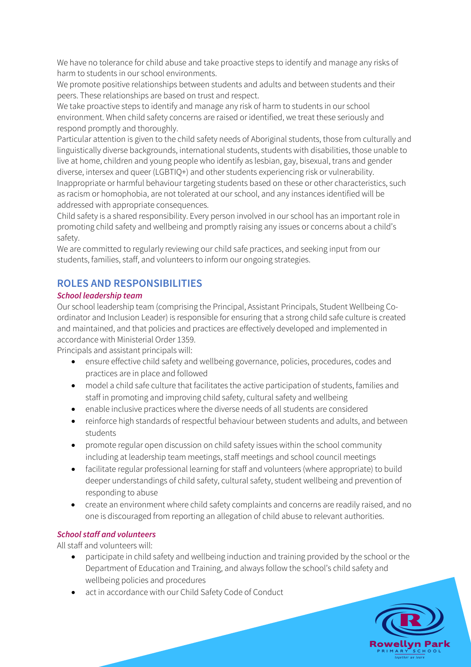We have no tolerance for child abuse and take proactive steps to identify and manage any risks of harm to students in our school environments.

We promote positive relationships between students and adults and between students and their peers. These relationships are based on trust and respect.

We take proactive steps to identify and manage any risk of harm to students in our school environment. When child safety concerns are raised or identified, we treat these seriously and respond promptly and thoroughly.

Particular attention is given to the child safety needs of Aboriginal students, those from culturally and linguistically diverse backgrounds, international students, students with disabilities, those unable to live at home, children and young people who identify as lesbian, gay, bisexual, trans and gender diverse, intersex and queer (LGBTIQ+) and other students experiencing risk or vulnerability. Inappropriate or harmful behaviour targeting students based on these or other characteristics, such as racism or homophobia, are not tolerated at our school, and any instances identified will be addressed with appropriate consequences.

Child safety is a shared responsibility. Every person involved in our school has an important role in promoting child safety and wellbeing and promptly raising any issues or concerns about a child's safety.

We are committed to regularly reviewing our child safe practices, and seeking input from our students, families, staff, and volunteers to inform our ongoing strategies.

# **ROLES AND RESPONSIBILITIES**

## *School leadership team*

Our school leadership team (comprising the Principal, Assistant Principals, Student Wellbeing Coordinator and Inclusion Leader) is responsible for ensuring that a strong child safe culture is created and maintained, and that policies and practices are effectively developed and implemented in accordance with Ministerial Order 1359.

Principals and assistant principals will:

- ensure effective child safety and wellbeing governance, policies, procedures, codes and practices are in place and followed
- model a child safe culture that facilitates the active participation of students, families and staff in promoting and improving child safety, cultural safety and wellbeing
- enable inclusive practices where the diverse needs of all students are considered
- reinforce high standards of respectful behaviour between students and adults, and between students
- promote regular open discussion on child safety issues within the school community including at leadership team meetings, staff meetings and school council meetings
- facilitate regular professional learning for staff and volunteers (where appropriate) to build deeper understandings of child safety, cultural safety, student wellbeing and prevention of responding to abuse
- create an environment where child safety complaints and concerns are readily raised, and no one is discouraged from reporting an allegation of child abuse to relevant authorities.

## *School staff and volunteers*

All staff and volunteers will:

- participate in child safety and wellbeing induction and training provided by the school or the Department of Education and Training, and always follow the school's child safety and wellbeing policies and procedures
- act in accordance with our Child Safety Code of Conduct

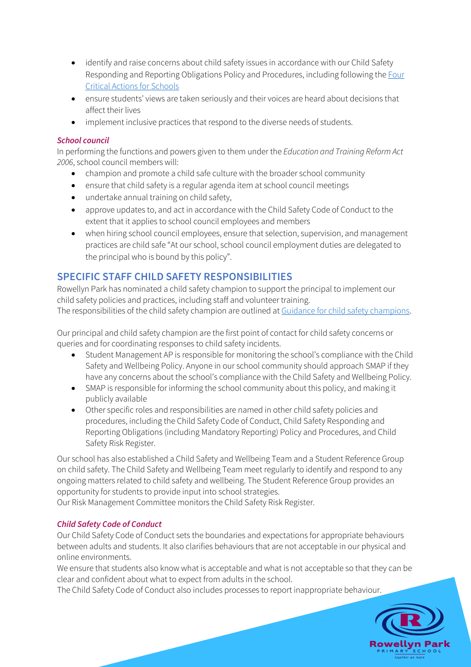- identify and raise concerns about child safety issues in accordance with our Child Safety Responding and Reporting Obligations Policy and Procedures, including following the Four Critical Actions for Schools
- ensure students' views are taken seriously and their voices are heard about decisions that affect their lives
- implement inclusive practices that respond to the diverse needs of students.

## *School council*

In performing the functions and powers given to them under the *Education and Training Reform Act 2006*, school council members will:

- champion and promote a child safe culture with the broader school community
- ensure that child safety is a regular agenda item at school council meetings
- undertake annual training on child safety,
- approve updates to, and act in accordance with the Child Safety Code of Conduct to the extent that it applies to school council employees and members
- when hiring school council employees, ensure that selection, supervision, and management practices are child safe "At our school, school council employment duties are delegated to the principal who is bound by this policy".

# **SPECIFIC STAFF CHILD SAFETY RESPONSIBILITIES**

Rowellyn Park has nominated a child safety champion to support the principal to implement our child safety policies and practices, including staff and volunteer training. The responsibilities of the child safety champion are outlined at Guidance for child safety champions.

Our principal and child safety champion are the first point of contact for child safety concerns or queries and for coordinating responses to child safety incidents.

- Student Management AP is responsible for monitoring the school's compliance with the Child Safety and Wellbeing Policy. Anyone in our school community should approach SMAP if they have any concerns about the school's compliance with the Child Safety and Wellbeing Policy.
- SMAP is responsible for informing the school community about this policy, and making it publicly available
- Other specific roles and responsibilities are named in other child safety policies and procedures, including the Child Safety Code of Conduct, Child Safety Responding and Reporting Obligations (including Mandatory Reporting) Policy and Procedures, and Child Safety Risk Register.

Our school has also established a Child Safety and Wellbeing Team and a Student Reference Group on child safety. The Child Safety and Wellbeing Team meet regularly to identify and respond to any ongoing matters related to child safety and wellbeing. The Student Reference Group provides an opportunity for students to provide input into school strategies.

Our Risk Management Committee monitors the Child Safety Risk Register.

## *Child Safety Code of Conduct*

Our Child Safety Code of Conduct sets the boundaries and expectations for appropriate behaviours between adults and students. It also clarifies behaviours that are not acceptable in our physical and online environments.

We ensure that students also know what is acceptable and what is not acceptable so that they can be clear and confident about what to expect from adults in the school.

The Child Safety Code of Conduct also includes processes to report inappropriate behaviour.

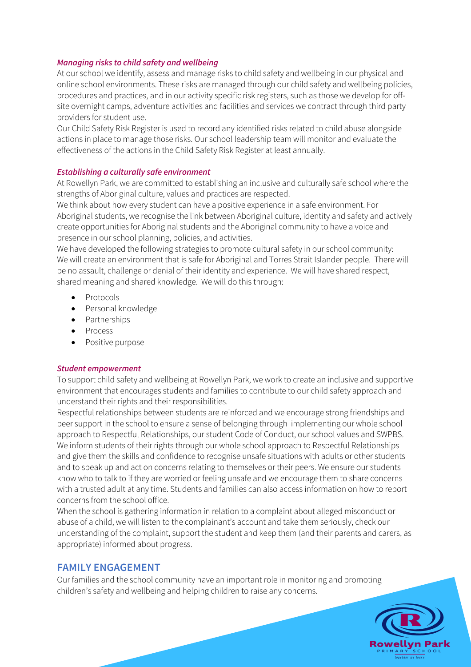#### *Managing risks to child safety and wellbeing*

At our school we identify, assess and manage risks to child safety and wellbeing in our physical and online school environments. These risks are managed through our child safety and wellbeing policies, procedures and practices, and in our activity specific risk registers, such as those we develop for offsite overnight camps, adventure activities and facilities and services we contract through third party providers for student use.

Our Child Safety Risk Register is used to record any identified risks related to child abuse alongside actions in place to manage those risks. Our school leadership team will monitor and evaluate the effectiveness of the actions in the Child Safety Risk Register at least annually.

#### *Establishing a culturally safe environment*

At Rowellyn Park, we are committed to establishing an inclusive and culturally safe school where the strengths of Aboriginal culture, values and practices are respected.

We think about how every student can have a positive experience in a safe environment. For Aboriginal students, we recognise the link between Aboriginal culture, identity and safety and actively create opportunities for Aboriginal students and the Aboriginal community to have a voice and presence in our school planning, policies, and activities.

We have developed the following strategies to promote cultural safety in our school community: We will create an environment that is safe for Aboriginal and Torres Strait Islander people. There will be no assault, challenge or denial of their identity and experience. We will have shared respect, shared meaning and shared knowledge. We will do this through:

- **Protocols**
- Personal knowledge
- Partnerships
- Process
- Positive purpose

#### *Student empowerment*

To support child safety and wellbeing at Rowellyn Park, we work to create an inclusive and supportive environment that encourages students and families to contribute to our child safety approach and understand their rights and their responsibilities.

Respectful relationships between students are reinforced and we encourage strong friendships and peer support in the school to ensure a sense of belonging through implementing our whole school approach to Respectful Relationships, our student Code of Conduct, our school values and SWPBS. We inform students of their rights through our whole school approach to Respectful Relationships and give them the skills and confidence to recognise unsafe situations with adults or other students and to speak up and act on concerns relating to themselves or their peers. We ensure our students know who to talk to if they are worried or feeling unsafe and we encourage them to share concerns with a trusted adult at any time. Students and families can also access information on how to report concerns from the school office.

When the school is gathering information in relation to a complaint about alleged misconduct or abuse of a child, we will listen to the complainant's account and take them seriously, check our understanding of the complaint, support the student and keep them (and their parents and carers, as appropriate) informed about progress.

## **FAMILY ENGAGEMENT**

Our families and the school community have an important role in monitoring and promoting children's safety and wellbeing and helping children to raise any concerns.

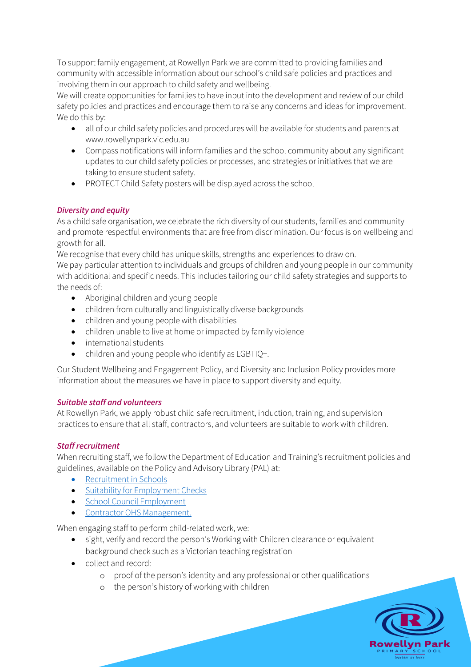To support family engagement, at Rowellyn Park we are committed to providing families and community with accessible information about our school's child safe policies and practices and involving them in our approach to child safety and wellbeing.

We will create opportunities for families to have input into the development and review of our child safety policies and practices and encourage them to raise any concerns and ideas for improvement. We do this by:

- all of our child safety policies and procedures will be available for students and parents at www.rowellynpark.vic.edu.au
- Compass notifications will inform families and the school community about any significant updates to our child safety policies or processes, and strategies or initiatives that we are taking to ensure student safety.
- PROTECT Child Safety posters will be displayed across the school

# *Diversity and equity*

As a child safe organisation, we celebrate the rich diversity of our students, families and community and promote respectful environments that are free from discrimination. Our focus is on wellbeing and growth for all.

We recognise that every child has unique skills, strengths and experiences to draw on. We pay particular attention to individuals and groups of children and young people in our community with additional and specific needs. This includes tailoring our child safety strategies and supports to the needs of:

- Aboriginal children and young people
- children from culturally and linguistically diverse backgrounds
- children and young people with disabilities
- children unable to live at home or impacted by family violence
- international students
- children and young people who identify as LGBTIQ+.

Our Student Wellbeing and Engagement Policy, and Diversity and Inclusion Policy provides more information about the measures we have in place to support diversity and equity.

## *Suitable staff and volunteers*

At Rowellyn Park, we apply robust child safe recruitment, induction, training, and supervision practices to ensure that all staff, contractors, and volunteers are suitable to work with children.

## *Staff recruitment*

When recruiting staff, we follow the Department of Education and Training's recruitment policies and guidelines, available on the Policy and Advisory Library (PAL) at:

- Recruitment in Schools
- Suitability for Employment Checks
- School Council Employment
- Contractor OHS Management.

When engaging staff to perform child-related work, we:

- sight, verify and record the person's Working with Children clearance or equivalent background check such as a Victorian teaching registration
- collect and record:
	- o proof of the person's identity and any professional or other qualifications
	- o the person's history of working with children

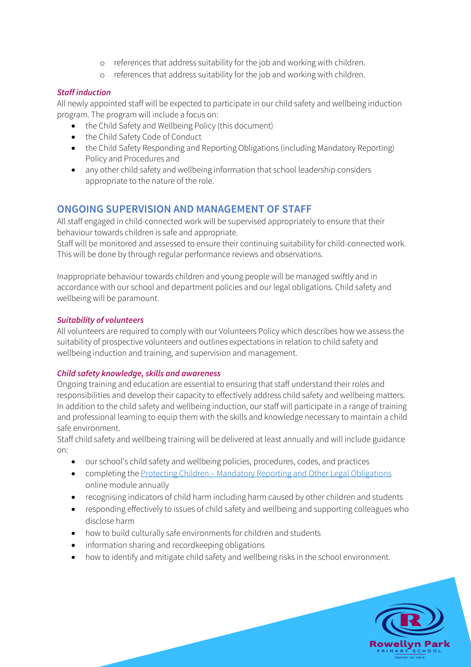- o references that address suitability for the job and working with children.
- o references that address suitability for the job and working with children.

## *Staff induction*

All newly appointed staff will be expected to participate in our child safety and wellbeing induction program. The program will include a focus on:

- the Child Safety and Wellbeing Policy (this document)
- the Child Safety Code of Conduct
- the Child Safety Responding and Reporting Obligations (including Mandatory Reporting) Policy and Procedures and
- any other child safety and wellbeing information that school leadership considers appropriate to the nature of the role.

# **ONGOING SUPERVISION AND MANAGEMENT OF STAFF**

All staff engaged in child-connected work will be supervised appropriately to ensure that their behaviour towards children is safe and appropriate.

Staff will be monitored and assessed to ensure their continuing suitability for child-connected work. This will be done by through regular performance reviews and observations.

Inappropriate behaviour towards children and young people will be managed swiftly and in accordance with our school and department policies and our legal obligations. Child safety and wellbeing will be paramount.

## *Suitability of volunteers*

All volunteers are required to comply with our Volunteers Policy which describes how we assess the suitability of prospective volunteers and outlines expectations in relation to child safety and wellbeing induction and training, and supervision and management.

## *Child safety knowledge, skills and awareness*

Ongoing training and education are essential to ensuring that staff understand their roles and responsibilities and develop their capacity to effectively address child safety and wellbeing matters. In addition to the child safety and wellbeing induction, our staff will participate in a range of training and professional learning to equip them with the skills and knowledge necessary to maintain a child safe environment.

Staff child safety and wellbeing training will be delivered at least annually and will include guidance on:

- our school's child safety and wellbeing policies, procedures, codes, and practices
- completing the Protecting Children Mandatory Reporting and Other Legal Obligations online module annually
- recognising indicators of child harm including harm caused by other children and students
- responding effectively to issues of child safety and wellbeing and supporting colleagues who disclose harm
- how to build culturally safe environments for children and students
- information sharing and recordkeeping obligations
- how to identify and mitigate child safety and wellbeing risks in the school environment.

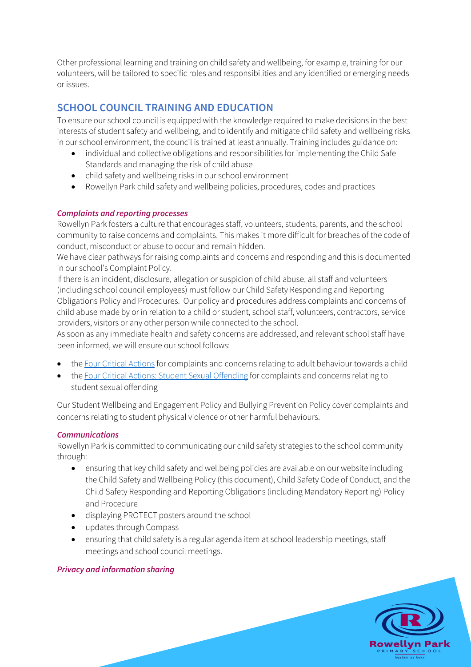Other professional learning and training on child safety and wellbeing, for example, training for our volunteers, will be tailored to specific roles and responsibilities and any identified or emerging needs or issues.

# **SCHOOL COUNCIL TRAINING AND EDUCATION**

To ensure our school council is equipped with the knowledge required to make decisions in the best interests of student safety and wellbeing, and to identify and mitigate child safety and wellbeing risks in our school environment, the council is trained at least annually. Training includes guidance on:

- individual and collective obligations and responsibilities for implementing the Child Safe Standards and managing the risk of child abuse
- child safety and wellbeing risks in our school environment
- Rowellyn Park child safety and wellbeing policies, procedures, codes and practices

## *Complaints and reporting processes*

Rowellyn Park fosters a culture that encourages staff, volunteers, students, parents, and the school community to raise concerns and complaints. This makes it more difficult for breaches of the code of conduct, misconduct or abuse to occur and remain hidden.

We have clear pathways for raising complaints and concerns and responding and this is documented in our school's Complaint Policy.

If there is an incident, disclosure, allegation or suspicion of child abuse, all staff and volunteers (including school council employees) must follow our Child Safety Responding and Reporting Obligations Policy and Procedures. Our policy and procedures address complaints and concerns of child abuse made by or in relation to a child or student, school staff, volunteers, contractors, service providers, visitors or any other person while connected to the school.

As soon as any immediate health and safety concerns are addressed, and relevant school staff have been informed, we will ensure our school follows:

- the Four Critical Actions for complaints and concerns relating to adult behaviour towards a child
- the Four Critical Actions: Student Sexual Offending for complaints and concerns relating to student sexual offending

Our Student Wellbeing and Engagement Policy and Bullying Prevention Policy cover complaints and concerns relating to student physical violence or other harmful behaviours.

#### *Communications*

Rowellyn Park is committed to communicating our child safety strategies to the school community through:

- ensuring that key child safety and wellbeing policies are available on our website including the Child Safety and Wellbeing Policy (this document), Child Safety Code of Conduct, and the Child Safety Responding and Reporting Obligations (including Mandatory Reporting) Policy and Procedure
- displaying PROTECT posters around the school
- updates through Compass
- ensuring that child safety is a regular agenda item at school leadership meetings, staff meetings and school council meetings.

#### *Privacy and information sharing*

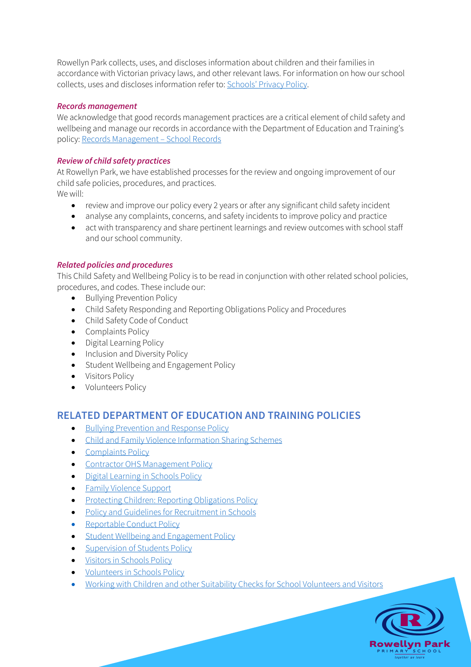Rowellyn Park collects, uses, and discloses information about children and their families in accordance with Victorian privacy laws, and other relevant laws. For information on how our school collects, uses and discloses information refer to: Schools' Privacy Policy.

## *Records management*

We acknowledge that good records management practices are a critical element of child safety and wellbeing and manage our records in accordance with the Department of Education and Training's policy: Records Management – School Records

## *Review of child safety practices*

At Rowellyn Park, we have established processes for the review and ongoing improvement of our child safe policies, procedures, and practices.

We will:

- review and improve our policy every 2 years or after any significant child safety incident
- analyse any complaints, concerns, and safety incidents to improve policy and practice
- act with transparency and share pertinent learnings and review outcomes with school staff and our school community.

## *Related policies and procedures*

This Child Safety and Wellbeing Policy is to be read in conjunction with other related school policies, procedures, and codes. These include our:

- Bullying Prevention Policy
- Child Safety Responding and Reporting Obligations Policy and Procedures
- Child Safety Code of Conduct
- Complaints Policy
- Digital Learning Policy
- Inclusion and Diversity Policy
- Student Wellbeing and Engagement Policy
- Visitors Policy
- Volunteers Policy

# **RELATED DEPARTMENT OF EDUCATION AND TRAINING POLICIES**

- Bullying Prevention and Response Policy
- Child and Family Violence Information Sharing Schemes
- Complaints Policy
- Contractor OHS Management Policy
- Digital Learning in Schools Policy
- Family Violence Support
- Protecting Children: Reporting Obligations Policy
- Policy and Guidelines for Recruitment in Schools
- Reportable Conduct Policy
- Student Wellbeing and Engagement Policy
- Supervision of Students Policy
- Visitors in Schools Policy
- Volunteers in Schools Policy
- Working with Children and other Suitability Checks for School Volunteers and Visitors